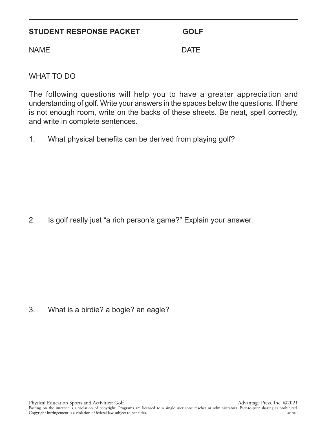| <b>STUDENT RESPONSE PACKET</b> | <b>GOLF</b> |  |
|--------------------------------|-------------|--|
|                                |             |  |

## NAME DATE

WHAT TO DO

The following questions will help you to have a greater appreciation and understanding of golf. Write your answers in the spaces below the questions. If there is not enough room, write on the backs of these sheets. Be neat, spell correctly, and write in complete sentences.

1. What physical benefits can be derived from playing golf?

2. Is golf really just "a rich person's game?" Explain your answer.

3. What is a birdie? a bogie? an eagle?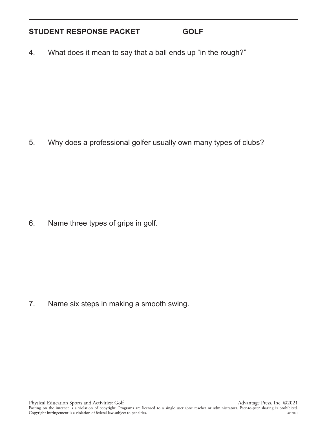## STUDENT RESPONSE PACKET **GOLF**

4. What does it mean to say that a ball ends up "in the rough?"

5. Why does a professional golfer usually own many types of clubs?

6. Name three types of grips in golf.

7. Name six steps in making a smooth swing.